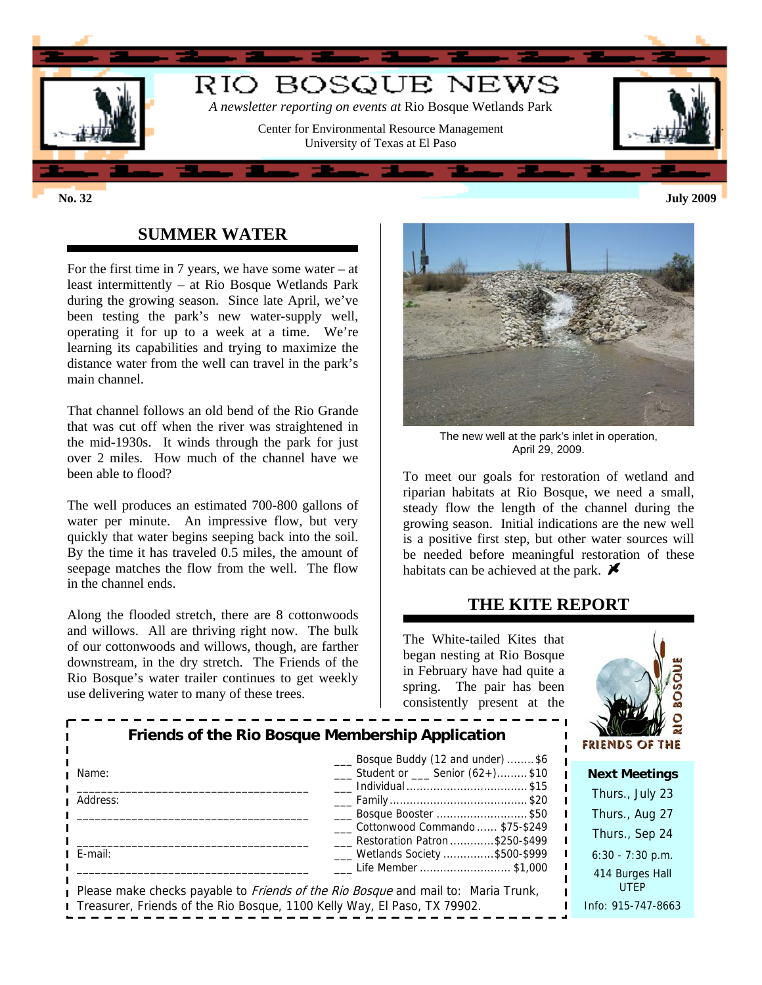

### **SUMMER WATER**

For the first time in 7 years, we have some water – at least intermittently – at Rio Bosque Wetlands Park during the growing season. Since late April, we've been testing the park's new water-supply well, operating it for up to a week at a time. We're learning its capabilities and trying to maximize the distance water from the well can travel in the park's main channel.

That channel follows an old bend of the Rio Grande that was cut off when the river was straightened in the mid-1930s. It winds through the park for just over 2 miles. How much of the channel have we been able to flood?

The well produces an estimated 700-800 gallons of water per minute. An impressive flow, but very quickly that water begins seeping back into the soil. By the time it has traveled 0.5 miles, the amount of seepage matches the flow from the well. The flow in the channel ends.

Along the flooded stretch, there are 8 cottonwoods and willows. All are thriving right now. The bulk of our cottonwoods and willows, though, are farther downstream, in the dry stretch. The Friends of the Rio Bosque's water trailer continues to get weekly use delivering water to many of these trees.



The new well at the park's inlet in operation, April 29, 2009.

To meet our goals for restoration of wetland and riparian habitats at Rio Bosque, we need a small, steady flow the length of the channel during the growing season. Initial indications are the new well is a positive first step, but other water sources will be needed before meaningful restoration of these habitats can be achieved at the park.  $\blacktriangleright$ 

# **THE KITE REPORT**

The White-tailed Kites that began nesting at Rio Bosque in February have had quite a spring. The pair has been consistently present at the



| Friends of the Rio Bosque Membership Application                         |                                                                                                                   | $\mathbb{E}[\mathcal{E}(\mathcal{E})]$<br><b>FRIENDS OF THE</b> |
|--------------------------------------------------------------------------|-------------------------------------------------------------------------------------------------------------------|-----------------------------------------------------------------|
| Name:                                                                    | Bosque Buddy (12 and under) \$6<br>$\frac{1}{1}$ Student or $\frac{1}{1}$ Senior (62+)\$10<br>___ Individual \$15 | <b>Next Meetings</b>                                            |
| Address:                                                                 |                                                                                                                   | Thurs., July 23                                                 |
|                                                                          | ____ Bosque Booster \$50                                                                                          | Thurs., Aug 27                                                  |
|                                                                          | Cottonwood Commando  \$75-\$249<br>Restoration Patron \$250-\$499                                                 | Thurs., Sep 24                                                  |
| $E$ -mail:                                                               | ___ Wetlands Society \$500-\$999                                                                                  | $6:30 - 7:30$ p.m.                                              |
|                                                                          | Life Member \$1,000<br>Please make checks payable to <i>Friends of the Rio Bosque</i> and mail to: Maria Trunk,   | 414 Burges Hall<br><b>UTEP</b>                                  |
| Treasurer, Friends of the Rio Bosque, 1100 Kelly Way, El Paso, TX 79902. |                                                                                                                   | Info: 915-747-8663                                              |